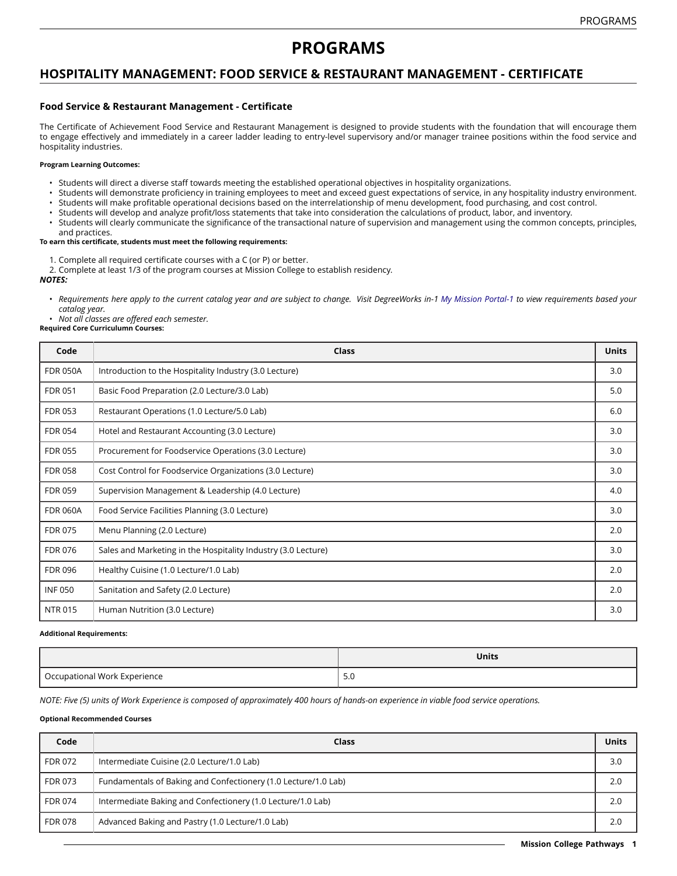## **PROGRAMS**

## **HOSPITALITY MANAGEMENT: FOOD SERVICE & RESTAURANT MANAGEMENT - CERTIFICATE**

### **Food Service & Restaurant Management - Certificate**

The Certificate of Achievement Food Service and Restaurant Management is designed to provide students with the foundation that will encourage them to engage effectively and immediately in a career ladder leading to entry-level supervisory and/or manager trainee positions within the food service and hospitality industries.

#### **Program Learning Outcomes:**

- Students will direct a diverse staff towards meeting the established operational objectives in hospitality organizations.
- Students will demonstrate proficiency in training employees to meet and exceed guest expectations of service, in any hospitality industry environment.
- Students will make profitable operational decisions based on the interrelationship of menu development, food purchasing, and cost control.
- Students will develop and analyze profit/loss statements that take into consideration the calculations of product, labor, and inventory.
- Students will clearly communicate the significance of the transactional nature of supervision and management using the common concepts, principles, and practices.

#### **To earn this certificate, students must meet the following requirements:**

- 1. Complete all required certificate courses with a C (or P) or better.
- 2. Complete at least 1/3 of the program courses at Mission College to establish residency.

*NOTES:*

- Requirements here apply to the current catalog year and are subject to change. Visit DegreeWorks in-1 [My Mission Portal-1](https://wvmccd.sharepoint.com/sites/MCPortal) to view requirements based your *catalog year.*
- *Not all classes are offered each semester.* **Required Core Curriculumn Courses:**

# **Code Class Units** FDR 050A | Introduction to the Hospitality Industry (3.0 Lecture) 3.0 FDR 051 Basic Food Preparation (2.0 Lecture/3.0 Lab) 5.0 September 2.0 Lab 5.0 September 2.0 Lab 5.0 September 2.0 Lab FDR 053 Restaurant Operations (1.0 Lecture/5.0 Lab) 6.0 FDR 054 Hotel and Restaurant Accounting (3.0 Lecture) 3.0 Section 3.0 Section 3.0 Section 3.0 Section 3.0 Section 3.0 Section 3.0 Section 3.0 Section 3.0 Section 3.0 Section 3.0 Section 3.0 Section 3.0 Section 3.0 Section FDR 055 Procurement for Foodservice Operations (3.0 Lecture) 3.0 FDR 058 Cost Control for Foodservice Organizations (3.0 Lecture) 3.0 FDR 059 Supervision Management & Leadership (4.0 Lecture) 4.0 And the state of the state of the state of the state of the state of the state of the state of the state of the state of the state of the state of the state of FDR 060A Food Service Facilities Planning (3.0 Lecture) 3.0 3.0 Service 3.0 Service 3.0 Service 5 and 3.0 Service 3.0 Service 3.0 Service 3.0 Service 3.0 Service 3.0 Service 3.0 Service 3.0 Service 3.0 Service 3.0 Service FDR 075 Menu Planning (2.0 Lecture) 2.0 FDR 076 Sales and Marketing in the Hospitality Industry (3.0 Lecture) 3.0 Lecture 3.0 FDR 096 Healthy Cuisine (1.0 Lecture/1.0 Lab) 2.0 INF 050 Sanitation and Safety (2.0 Lecture) 2.0 NTR 015 Human Nutrition (3.0 Lecture) 3.0 (3.0 Lecture) 3.0 (3.0 Lecture) 3.0 (3.0 Lecture) 3.0 (3.0 Lecture)

#### **Additional Requirements:**

|                              | <b>Units</b> |
|------------------------------|--------------|
| Occupational Work Experience | 5.0          |

NOTE: Five (5) units of Work Experience is composed of approximately 400 hours of hands-on experience in viable food service operations.

#### **Optional Recommended Courses**

| Code           | Class                                                          | <b>Units</b> |
|----------------|----------------------------------------------------------------|--------------|
| <b>FDR 072</b> | Intermediate Cuisine (2.0 Lecture/1.0 Lab)                     | 3.0          |
| <b>FDR 073</b> | Fundamentals of Baking and Confectionery (1.0 Lecture/1.0 Lab) | 2.0          |
| <b>FDR 074</b> | Intermediate Baking and Confectionery (1.0 Lecture/1.0 Lab)    | 2.0          |
| <b>FDR 078</b> | Advanced Baking and Pastry (1.0 Lecture/1.0 Lab)               | 2.0          |